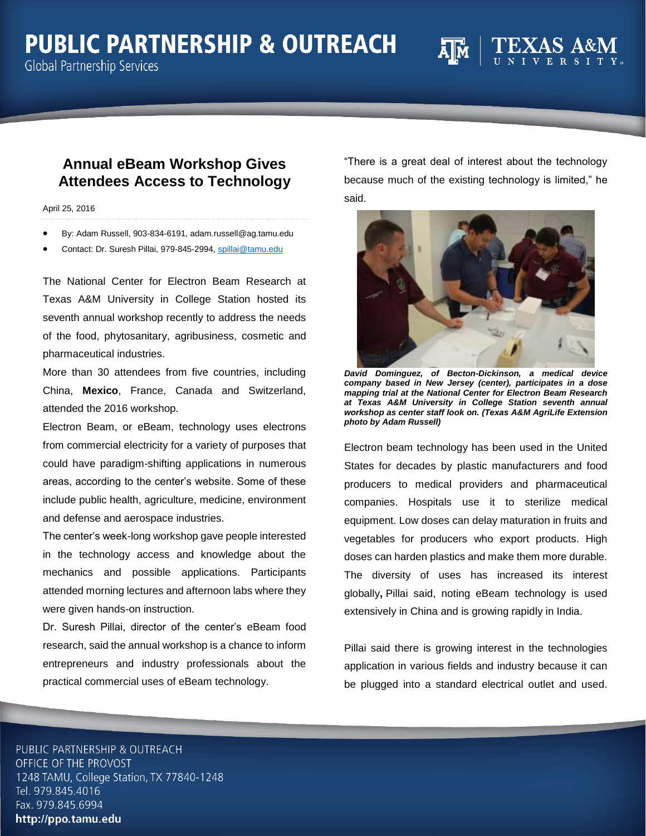**PUBLIC PARTNERSHIP & OUTREACH** 

**Global Partnership Services** 

"There is a great deal of interest about the technology because much of the existing technology is limited," he said.



*David Dominguez, of Becton-Dickinson, a medical device company based in New Jersey (center), participates in a dose mapping trial at the National Center for Electron Beam Research at Texas A&M University in College Station seventh annual workshop as center staff look on. (Texas A&M AgriLife Extension photo by Adam Russell)*

Electron beam technology has been used in the United States for decades by plastic manufacturers and food producers to medical providers and pharmaceutical companies. Hospitals use it to sterilize medical equipment. Low doses can delay maturation in fruits and vegetables for producers who export products. High doses can harden plastics and make them more durable. The diversity of uses has increased its interest globally**,** Pillai said, noting eBeam technology is used extensively in China and is growing rapidly in India.

Pillai said there is growing interest in the technologies application in various fields and industry because it can be plugged into a standard electrical outlet and used.

## **Annual eBeam Workshop Gives Attendees Access to Technology**

April 25, [2016](https://today.agrilife.org/2016/04/25/annual-ebeam-workshop-gives-attendees-access-to-technology/)

- By: Adam Russell, 903-834-6191, adam.russell@ag.tamu.edu
- Contact: Dr. Suresh Pillai, 979-845-2994[, spillai@tamu.edu](mailto:spillai@tamu.edu)

The National Center for Electron Beam Research at Texas A&M University in College Station hosted its seventh annual workshop recently to address the needs of the food, phytosanitary, agribusiness, cosmetic and pharmaceutical industries.

More than 30 attendees from five countries, including China, **Mexico**, France, Canada and Switzerland, attended the 2016 workshop.

Electron Beam, or eBeam, technology uses electrons from commercial electricity for a variety of purposes that could have paradigm-shifting applications in numerous areas, according to the center's website. Some of these include public health, agriculture, medicine, environment and defense and aerospace industries.

The center's week-long workshop gave people interested in the technology access and knowledge about the mechanics and possible applications. Participants attended morning lectures and afternoon labs where they were given hands-on instruction.

Dr. Suresh Pillai, director of the center's eBeam food research, said the annual workshop is a chance to inform entrepreneurs and industry professionals about the practical commercial uses of eBeam technology.

PUBLIC PARTNERSHIP & OUTREACH OFFICE OF THE PROVOST 1248 TAMU, College Station, TX 77840-1248 Tel. 979.845.4016 Fax. 979.845.6994 http://ppo.tamu.edu